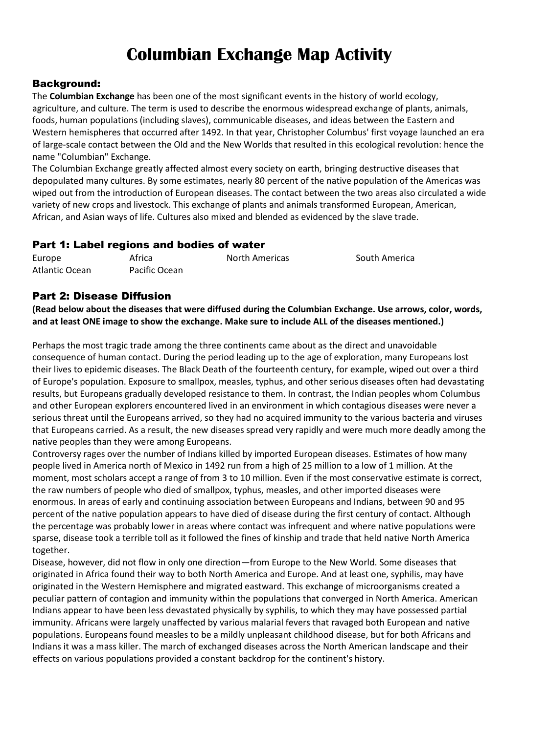# **Columbian Exchange Map Activity**

#### Background:

The **Columbian Exchange** has been one of the most significant events in the history of world ecology, agriculture, and culture. The term is used to describe the enormous widespread exchange of plants, animals, foods, human populations (including slaves), communicable diseases, and ideas between the Eastern and Western hemispheres that occurred after 1492. In that year, Christopher Columbus' first voyage launched an era of large-scale contact between the Old and the New Worlds that resulted in this ecological revolution: hence the name "Columbian" Exchange.

The Columbian Exchange greatly affected almost every society on earth, bringing destructive diseases that depopulated many cultures. By some estimates, nearly 80 percent of the native population of the Americas was wiped out from the introduction of European diseases. The contact between the two areas also circulated a wide variety of new crops and livestock. This exchange of plants and animals transformed European, American, African, and Asian ways of life. Cultures also mixed and blended as evidenced by the slave trade.

#### Part 1: Label regions and bodies of water

| Europe         | Africa        | <b>North Americas</b> | South America |
|----------------|---------------|-----------------------|---------------|
| Atlantic Ocean | Pacific Ocean |                       |               |

### Part 2: Disease Diffusion

**(Read below about the diseases that were diffused during the Columbian Exchange. Use arrows, color, words, and at least ONE image to show the exchange. Make sure to include ALL of the diseases mentioned.)**

Perhaps the most tragic trade among the three continents came about as the direct and unavoidable consequence of human contact. During the period leading up to the age of exploration, many Europeans lost their lives to epidemic diseases. The Black Death of the fourteenth century, for example, wiped out over a third of Europe's population. Exposure to smallpox, measles, typhus, and other serious diseases often had devastating results, but Europeans gradually developed resistance to them. In contrast, the Indian peoples whom Columbus and other European explorers encountered lived in an environment in which contagious diseases were never a serious threat until the Europeans arrived, so they had no acquired immunity to the various bacteria and viruses that Europeans carried. As a result, the new diseases spread very rapidly and were much more deadly among the native peoples than they were among Europeans.

Controversy rages over the number of Indians killed by imported European diseases. Estimates of how many people lived in America north of Mexico in 1492 run from a high of 25 million to a low of 1 million. At the moment, most scholars accept a range of from 3 to 10 million. Even if the most conservative estimate is correct, the raw numbers of people who died of smallpox, typhus, measles, and other imported diseases were enormous. In areas of early and continuing association between Europeans and Indians, between 90 and 95 percent of the native population appears to have died of disease during the first century of contact. Although the percentage was probably lower in areas where contact was infrequent and where native populations were sparse, disease took a terrible toll as it followed the fines of kinship and trade that held native North America together.

Disease, however, did not flow in only one direction—from Europe to the New World. Some diseases that originated in Africa found their way to both North America and Europe. And at least one, syphilis, may have originated in the Western Hemisphere and migrated eastward. This exchange of microorganisms created a peculiar pattern of contagion and immunity within the populations that converged in North America. American Indians appear to have been less devastated physically by syphilis, to which they may have possessed partial immunity. Africans were largely unaffected by various malarial fevers that ravaged both European and native populations. Europeans found measles to be a mildly unpleasant childhood disease, but for both Africans and Indians it was a mass killer. The march of exchanged diseases across the North American landscape and their effects on various populations provided a constant backdrop for the continent's history.